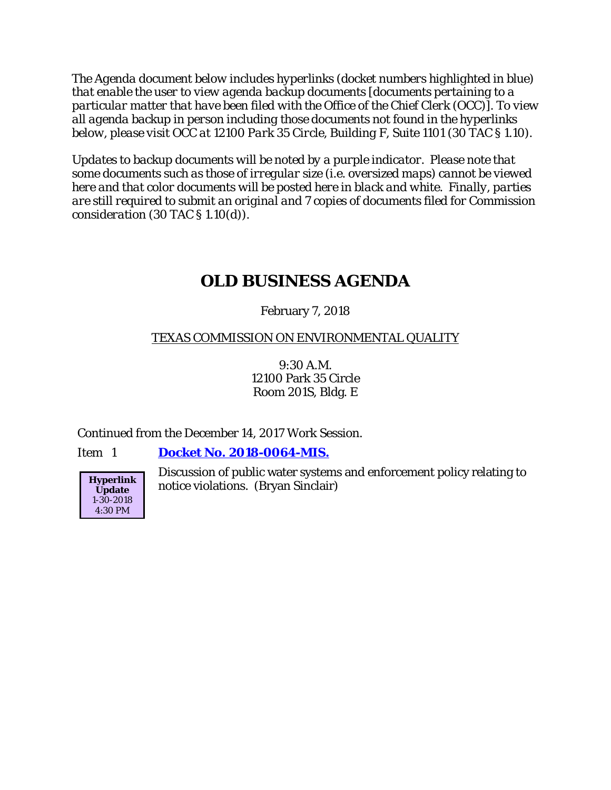*The Agenda document below includes hyperlinks (docket numbers highlighted in blue) that enable the user to view agenda backup documents [documents pertaining to a particular matter that have been filed with the Office of the Chief Clerk (OCC)]. To view all agenda backup in person including those documents not found in the hyperlinks below, please visit OCC at 12100 Park 35 Circle, Building F, Suite 1101 (30 TAC § 1.10).*

*Updates to backup documents will be noted by a purple indicator. Please note that some documents such as those of irregular size (i.e. oversized maps) cannot be viewed here and that color documents will be posted here in black and white. Finally, parties are still required to submit an original and 7 copies of documents filed for Commission consideration (30 TAC § 1.10(d)).*

# **OLD BUSINESS AGENDA**

# February 7, 2018

# TEXAS COMMISSION ON ENVIRONMENTAL QUALITY

9:30 A.M. 12100 Park 35 Circle Room 201S, Bldg. E

Continued from the December 14, 2017 Work Session*.*

Item 1 **Docket No. [2018-0064-MIS.](http://www.tceq.texas.gov/assets/public/comm_exec/agendas/comm/backup/Agendas/2018/02-07-2018/0064MIS_WS.pdf)**



Discussion of public water systems and enforcement policy relating to notice violations. (Bryan Sinclair)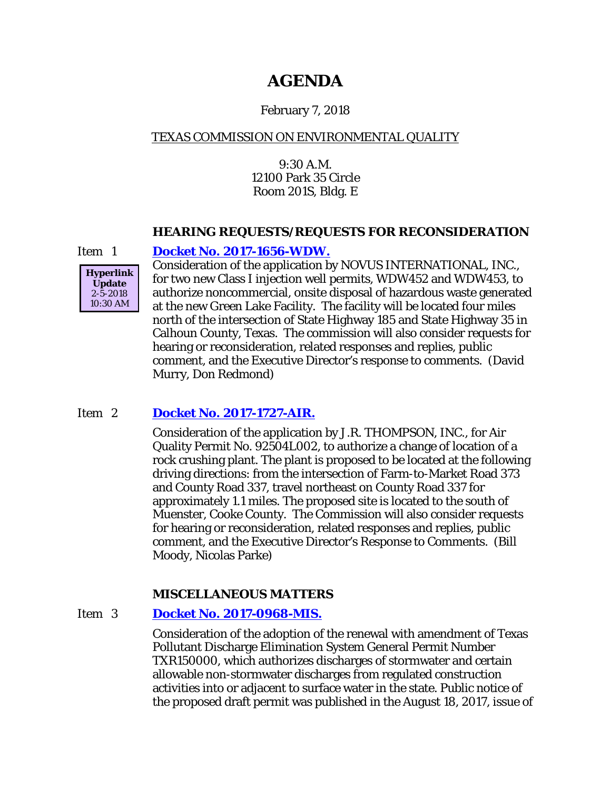# **AGENDA**

# February 7, 2018

# TEXAS COMMISSION ON ENVIRONMENTAL QUALITY

9:30 A.M. 12100 Park 35 Circle Room 201S, Bldg. E

#### **HEARING REQUESTS/REQUESTS FOR RECONSIDERATION**



# Item 1 **[Docket No. 2017-1656-WDW.](http://www.tceq.texas.gov/assets/public/comm_exec/agendas/comm/backup/Agendas/2018/02-07-2018/novus.pdf)**

Consideration of the application by NOVUS INTERNATIONAL, INC., for two new Class I injection well permits, WDW452 and WDW453, to authorize noncommercial, onsite disposal of hazardous waste generated at the new Green Lake Facility. The facility will be located four miles north of the intersection of State Highway 185 and State Highway 35 in Calhoun County, Texas. The commission will also consider requests for hearing or reconsideration, related responses and replies, public comment, and the Executive Director's response to comments. (David Murry, Don Redmond)

# Item 2 **[Docket No. 2017-1727-AIR.](http://www.tceq.texas.gov/assets/public/comm_exec/agendas/comm/backup/Agendas/2018/02-07-2018/thompson.pdf)**

Consideration of the application by J.R. THOMPSON, INC., for Air Quality Permit No. 92504L002, to authorize a change of location of a rock crushing plant. The plant is proposed to be located at the following driving directions: from the intersection of Farm-to-Market Road 373 and County Road 337, travel northeast on County Road 337 for approximately 1.1 miles. The proposed site is located to the south of Muenster, Cooke County. The Commission will also consider requests for hearing or reconsideration, related responses and replies, public comment, and the Executive Director's Response to Comments. (Bill Moody, Nicolas Parke)

# **MISCELLANEOUS MATTERS**

# Item 3 **[Docket No. 2017-0968-MIS.](http://www.tceq.texas.gov/assets/public/comm_exec/agendas/comm/backup/Agendas/2018/02-07-2018/0968MIS.pdf)**

Consideration of the adoption of the renewal with amendment of Texas Pollutant Discharge Elimination System General Permit Number TXR150000, which authorizes discharges of stormwater and certain allowable non-stormwater discharges from regulated construction activities into or adjacent to surface water in the state. Public notice of the proposed draft permit was published in the August 18, 2017, issue of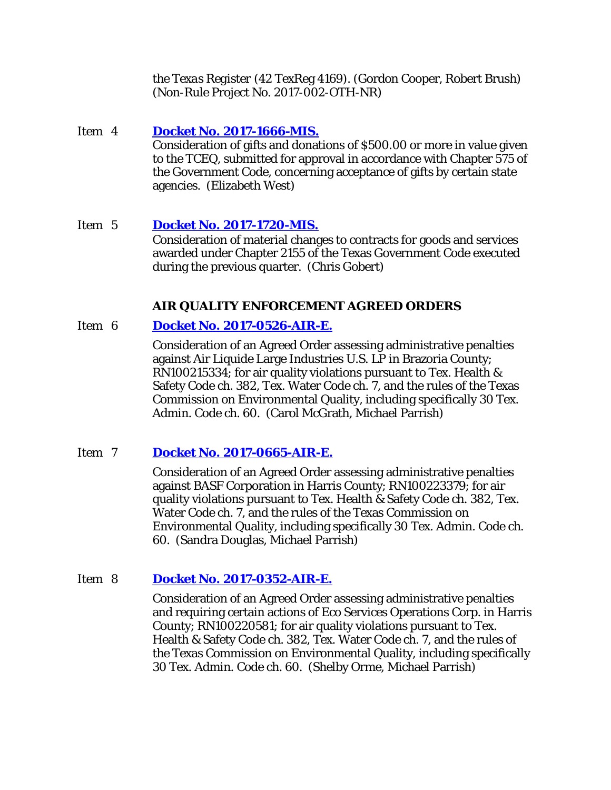the *Texas Register* (42 TexReg 4169). (Gordon Cooper, Robert Brush) (Non-Rule Project No. 2017-002-OTH-NR)

- Item 4 **[Docket No. 2017-1666-MIS.](http://www.tceq.texas.gov/assets/public/comm_exec/agendas/comm/backup/Agendas/2018/02-07-2018/1666MIS.pdf)** Consideration of gifts and donations of \$500.00 or more in value given to the TCEQ, submitted for approval in accordance with Chapter 575 of the Government Code, concerning acceptance of gifts by certain state agencies. (Elizabeth West)
- Item 5 **Docket No. [2017-1720-MIS.](http://www.tceq.texas.gov/assets/public/comm_exec/agendas/comm/backup/Agendas/2018/02-07-2018/1720MIS.pdf)** Consideration of material changes to contracts for goods and services awarded under Chapter 2155 of the Texas Government Code executed during the previous quarter. (Chris Gobert)

# **AIR QUALITY ENFORCEMENT AGREED ORDERS**

# Item 6 **[Docket No. 2017-0526-AIR-E.](http://www.tceq.texas.gov/assets/public/comm_exec/agendas/comm/backup/Agendas/2018/02-07-2018/0526AIR.pdf)**

Consideration of an Agreed Order assessing administrative penalties against Air Liquide Large Industries U.S. LP in Brazoria County; RN100215334; for air quality violations pursuant to Tex. Health & Safety Code ch. 382, Tex. Water Code ch. 7, and the rules of the Texas Commission on Environmental Quality, including specifically 30 Tex. Admin. Code ch. 60. (Carol McGrath, Michael Parrish)

# Item 7 **[Docket No. 2017-0665-AIR-E.](http://www.tceq.texas.gov/assets/public/comm_exec/agendas/comm/backup/Agendas/2018/02-07-2018/0665AIR.pdf)**

Consideration of an Agreed Order assessing administrative penalties against BASF Corporation in Harris County; RN100223379; for air quality violations pursuant to Tex. Health & Safety Code ch. 382, Tex. Water Code ch. 7, and the rules of the Texas Commission on Environmental Quality, including specifically 30 Tex. Admin. Code ch. 60. (Sandra Douglas, Michael Parrish)

# Item 8 **[Docket No. 2017-0352-AIR-E.](http://www.tceq.texas.gov/assets/public/comm_exec/agendas/comm/backup/Agendas/2018/02-07-2018/0352AIR.pdf)**

Consideration of an Agreed Order assessing administrative penalties and requiring certain actions of Eco Services Operations Corp. in Harris County; RN100220581; for air quality violations pursuant to Tex. Health & Safety Code ch. 382, Tex. Water Code ch. 7, and the rules of the Texas Commission on Environmental Quality, including specifically 30 Tex. Admin. Code ch. 60. (Shelby Orme, Michael Parrish)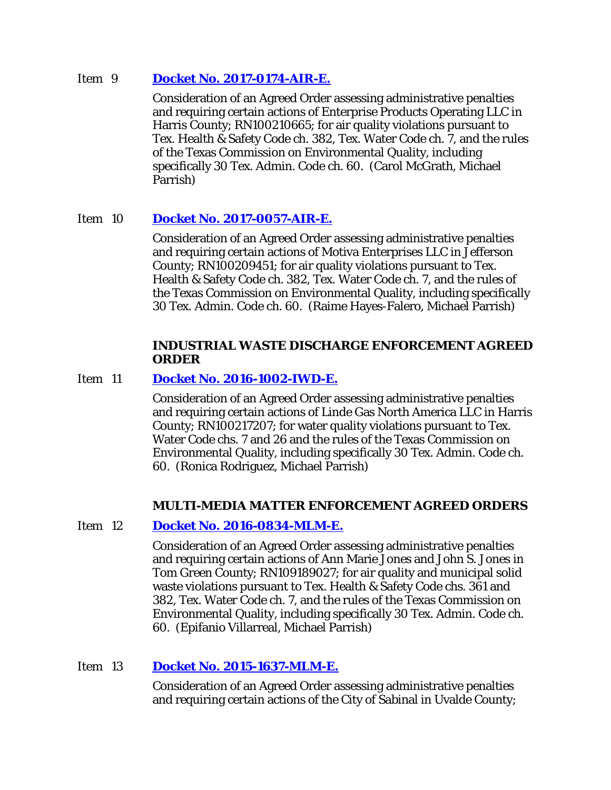#### Item 9 **[Docket No. 2017-0174-AIR-E.](http://www.tceq.texas.gov/assets/public/comm_exec/agendas/comm/backup/Agendas/2018/02-07-2018/0174AIR.pdf)**

Consideration of an Agreed Order assessing administrative penalties and requiring certain actions of Enterprise Products Operating LLC in Harris County; RN100210665; for air quality violations pursuant to Tex. Health & Safety Code ch. 382, Tex. Water Code ch. 7, and the rules of the Texas Commission on Environmental Quality, including specifically 30 Tex. Admin. Code ch. 60. (Carol McGrath, Michael Parrish)

# Item 10 **[Docket No. 2017-0057-AIR-E.](http://www.tceq.texas.gov/assets/public/comm_exec/agendas/comm/backup/Agendas/2018/02-07-2018/0057AIR.pdf)**

Consideration of an Agreed Order assessing administrative penalties and requiring certain actions of Motiva Enterprises LLC in Jefferson County; RN100209451; for air quality violations pursuant to Tex. Health & Safety Code ch. 382, Tex. Water Code ch. 7, and the rules of the Texas Commission on Environmental Quality, including specifically 30 Tex. Admin. Code ch. 60. (Raime Hayes-Falero, Michael Parrish)

#### **INDUSTRIAL WASTE DISCHARGE ENFORCEMENT AGREED ORDER**

# Item 11 **[Docket No. 2016-1002-IWD-E.](http://www.tceq.texas.gov/assets/public/comm_exec/agendas/comm/backup/Agendas/2018/02-07-2018/1002IWD.pdf)**

Consideration of an Agreed Order assessing administrative penalties and requiring certain actions of Linde Gas North America LLC in Harris County; RN100217207; for water quality violations pursuant to Tex. Water Code chs. 7 and 26 and the rules of the Texas Commission on Environmental Quality, including specifically 30 Tex. Admin. Code ch. 60. (Ronica Rodriguez, Michael Parrish)

# **MULTI-MEDIA MATTER ENFORCEMENT AGREED ORDERS**

# Item 12 **[Docket No. 2016-0834-MLM-E.](http://www.tceq.texas.gov/assets/public/comm_exec/agendas/comm/backup/Agendas/2018/02-07-2018/0834MLM.pdf)**

Consideration of an Agreed Order assessing administrative penalties and requiring certain actions of Ann Marie Jones and John S. Jones in Tom Green County; RN109189027; for air quality and municipal solid waste violations pursuant to Tex. Health & Safety Code chs. 361 and 382, Tex. Water Code ch. 7, and the rules of the Texas Commission on Environmental Quality, including specifically 30 Tex. Admin. Code ch. 60. (Epifanio Villarreal, Michael Parrish)

# Item 13 **[Docket No. 2015-1637-MLM-E.](http://www.tceq.texas.gov/assets/public/comm_exec/agendas/comm/backup/Agendas/2018/02-07-2018/1637MLM.pdf)**

Consideration of an Agreed Order assessing administrative penalties and requiring certain actions of the City of Sabinal in Uvalde County;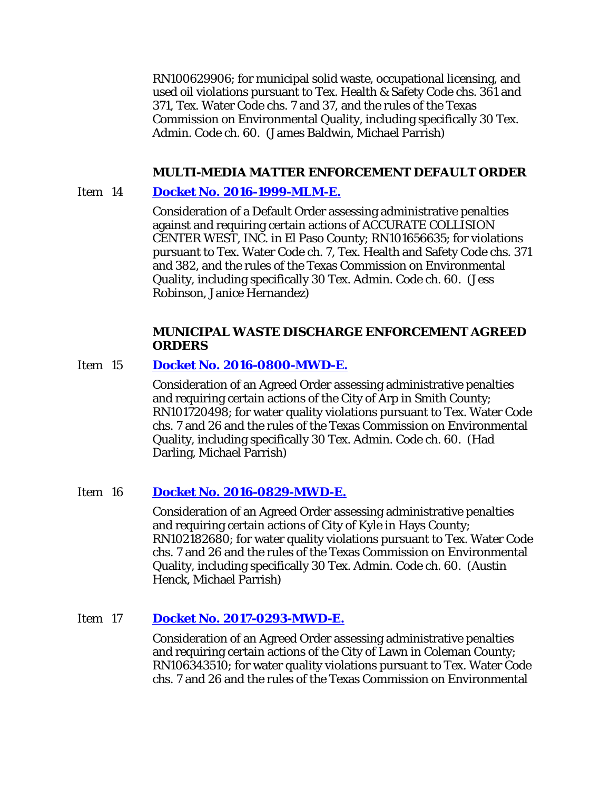RN100629906; for municipal solid waste, occupational licensing, and used oil violations pursuant to Tex. Health & Safety Code chs. 361 and 371, Tex. Water Code chs. 7 and 37, and the rules of the Texas Commission on Environmental Quality, including specifically 30 Tex. Admin. Code ch. 60. (James Baldwin, Michael Parrish)

#### **MULTI-MEDIA MATTER ENFORCEMENT DEFAULT ORDER**

#### Item 14 **[Docket No. 2016-1999-MLM-E.](http://www.tceq.texas.gov/assets/public/comm_exec/agendas/comm/backup/Agendas/2018/02-07-2018/1999MLM.pdf)**

Consideration of a Default Order assessing administrative penalties against and requiring certain actions of ACCURATE COLLISION CENTER WEST, INC. in El Paso County; RN101656635; for violations pursuant to Tex. Water Code ch. 7, Tex. Health and Safety Code chs. 371 and 382, and the rules of the Texas Commission on Environmental Quality, including specifically 30 Tex. Admin. Code ch. 60. (Jess Robinson, Janice Hernandez)

#### **MUNICIPAL WASTE DISCHARGE ENFORCEMENT AGREED ORDERS**

#### Item 15 **[Docket No. 2016-0800-MWD-E.](http://www.tceq.texas.gov/assets/public/comm_exec/agendas/comm/backup/Agendas/2018/02-07-2018/0800MWD.pdf)**

Consideration of an Agreed Order assessing administrative penalties and requiring certain actions of the City of Arp in Smith County; RN101720498; for water quality violations pursuant to Tex. Water Code chs. 7 and 26 and the rules of the Texas Commission on Environmental Quality, including specifically 30 Tex. Admin. Code ch. 60. (Had Darling, Michael Parrish)

#### Item 16 **[Docket No. 2016-0829-MWD-E.](http://www.tceq.texas.gov/assets/public/comm_exec/agendas/comm/backup/Agendas/2018/02-07-2018/0829MWD.pdf)**

Consideration of an Agreed Order assessing administrative penalties and requiring certain actions of City of Kyle in Hays County; RN102182680; for water quality violations pursuant to Tex. Water Code chs. 7 and 26 and the rules of the Texas Commission on Environmental Quality, including specifically 30 Tex. Admin. Code ch. 60. (Austin Henck, Michael Parrish)

# Item 17 **[Docket No. 2017-0293-MWD-E.](http://www.tceq.texas.gov/assets/public/comm_exec/agendas/comm/backup/Agendas/2018/02-07-2018/0293MWD.pdf)**

Consideration of an Agreed Order assessing administrative penalties and requiring certain actions of the City of Lawn in Coleman County; RN106343510; for water quality violations pursuant to Tex. Water Code chs. 7 and 26 and the rules of the Texas Commission on Environmental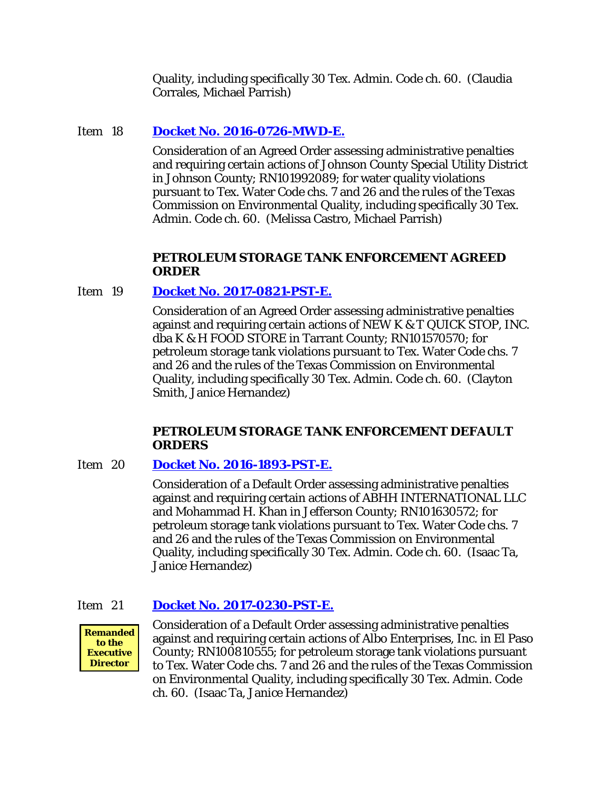Quality, including specifically 30 Tex. Admin. Code ch. 60. (Claudia Corrales, Michael Parrish)

# Item 18 **[Docket No. 2016-0726-MWD-E.](http://www.tceq.texas.gov/assets/public/comm_exec/agendas/comm/backup/Agendas/2018/02-07-2018/0726MWD.pdf)**

Consideration of an Agreed Order assessing administrative penalties and requiring certain actions of Johnson County Special Utility District in Johnson County; RN101992089; for water quality violations pursuant to Tex. Water Code chs. 7 and 26 and the rules of the Texas Commission on Environmental Quality, including specifically 30 Tex. Admin. Code ch. 60. (Melissa Castro, Michael Parrish)

# **PETROLEUM STORAGE TANK ENFORCEMENT AGREED ORDER**

# Item 19 **Docket No. [2017-0821-PST-E.](http://www.tceq.texas.gov/assets/public/comm_exec/agendas/comm/backup/Agendas/2018/02-07-2018/0821PST.pdf)**

Consideration of an Agreed Order assessing administrative penalties against and requiring certain actions of NEW K & T QUICK STOP, INC. dba K & H FOOD STORE in Tarrant County; RN101570570; for petroleum storage tank violations pursuant to Tex. Water Code chs. 7 and 26 and the rules of the Texas Commission on Environmental Quality, including specifically 30 Tex. Admin. Code ch. 60. (Clayton Smith, Janice Hernandez)

#### **PETROLEUM STORAGE TANK ENFORCEMENT DEFAULT ORDERS**

# Item 20 **[Docket No. 2016-1893-PST-E.](http://www.tceq.texas.gov/assets/public/comm_exec/agendas/comm/backup/Agendas/2018/02-07-2018/1893PST.pdf)**

Consideration of a Default Order assessing administrative penalties against and requiring certain actions of ABHH INTERNATIONAL LLC and Mohammad H. Khan in Jefferson County; RN101630572; for petroleum storage tank violations pursuant to Tex. Water Code chs. 7 and 26 and the rules of the Texas Commission on Environmental Quality, including specifically 30 Tex. Admin. Code ch. 60. (Isaac Ta, Janice Hernandez)

# Item 21 **[Docket No. 2017-0230-PST-E.](http://www.tceq.texas.gov/assets/public/comm_exec/agendas/comm/backup/Agendas/2018/02-07-2018/0230PST.pdf)**



Consideration of a Default Order assessing administrative penalties against and requiring certain actions of Albo Enterprises, Inc. in El Paso County; RN100810555; for petroleum storage tank violations pursuant to Tex. Water Code chs. 7 and 26 and the rules of the Texas Commission on Environmental Quality, including specifically 30 Tex. Admin. Code ch. 60. (Isaac Ta, Janice Hernandez)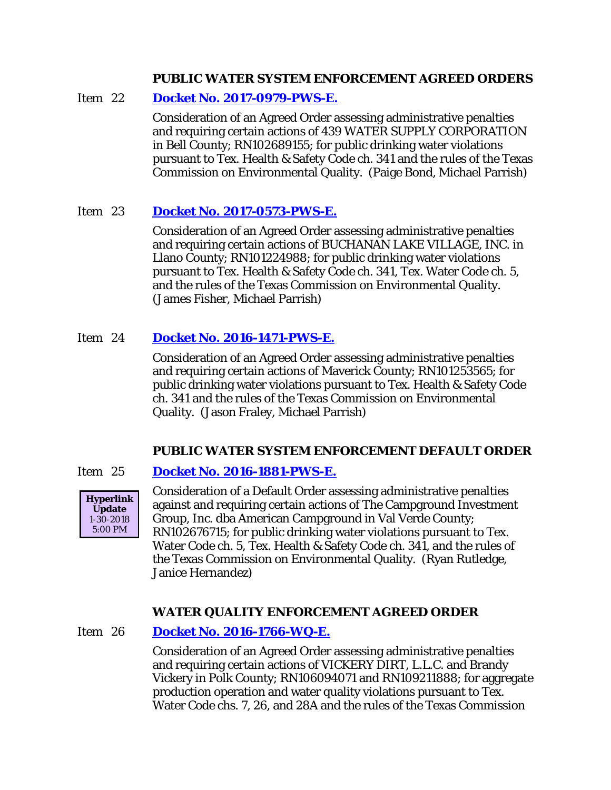#### **PUBLIC WATER SYSTEM ENFORCEMENT AGREED ORDERS**

# Item 22 **[Docket No. 2017-0979-PWS-E.](http://www.tceq.texas.gov/assets/public/comm_exec/agendas/comm/backup/Agendas/2018/02-07-2018/0979PWS.pdf)**

Consideration of an Agreed Order assessing administrative penalties and requiring certain actions of 439 WATER SUPPLY CORPORATION in Bell County; RN102689155; for public drinking water violations pursuant to Tex. Health & Safety Code ch. 341 and the rules of the Texas Commission on Environmental Quality. (Paige Bond, Michael Parrish)

# Item 23 **[Docket No. 2017-0573-PWS-E.](http://www.tceq.texas.gov/assets/public/comm_exec/agendas/comm/backup/Agendas/2018/02-07-2018/0573PWS.pdf)**

Consideration of an Agreed Order assessing administrative penalties and requiring certain actions of BUCHANAN LAKE VILLAGE, INC. in Llano County; RN101224988; for public drinking water violations pursuant to Tex. Health & Safety Code ch. 341, Tex. Water Code ch. 5, and the rules of the Texas Commission on Environmental Quality. (James Fisher, Michael Parrish)

# Item 24 **[Docket No. 2016-1471-PWS-E.](http://www.tceq.texas.gov/assets/public/comm_exec/agendas/comm/backup/Agendas/2018/02-07-2018/1471PWS.pdf)**

Consideration of an Agreed Order assessing administrative penalties and requiring certain actions of Maverick County; RN101253565; for public drinking water violations pursuant to Tex. Health & Safety Code ch. 341 and the rules of the Texas Commission on Environmental Quality. (Jason Fraley, Michael Parrish)

# **PUBLIC WATER SYSTEM ENFORCEMENT DEFAULT ORDER**

# Item 25 **[Docket No. 2016-1881-PWS-E.](http://www.tceq.texas.gov/assets/public/comm_exec/agendas/comm/backup/Agendas/2018/02-07-2018/1881PWS.pdf)**



Consideration of a Default Order assessing administrative penalties against and requiring certain actions of The Campground Investment Group, Inc. dba American Campground in Val Verde County; RN102676715; for public drinking water violations pursuant to Tex. Water Code ch. 5, Tex. Health & Safety Code ch. 341, and the rules of the Texas Commission on Environmental Quality. (Ryan Rutledge, Janice Hernandez)

# **WATER QUALITY ENFORCEMENT AGREED ORDER**

# Item 26 **[Docket No. 2016-1766-WQ-E.](http://www.tceq.texas.gov/assets/public/comm_exec/agendas/comm/backup/Agendas/2018/02-07-2018/1766WQ.pdf)**

Consideration of an Agreed Order assessing administrative penalties and requiring certain actions of VICKERY DIRT, L.L.C. and Brandy Vickery in Polk County; RN106094071 and RN109211888; for aggregate production operation and water quality violations pursuant to Tex. Water Code chs. 7, 26, and 28A and the rules of the Texas Commission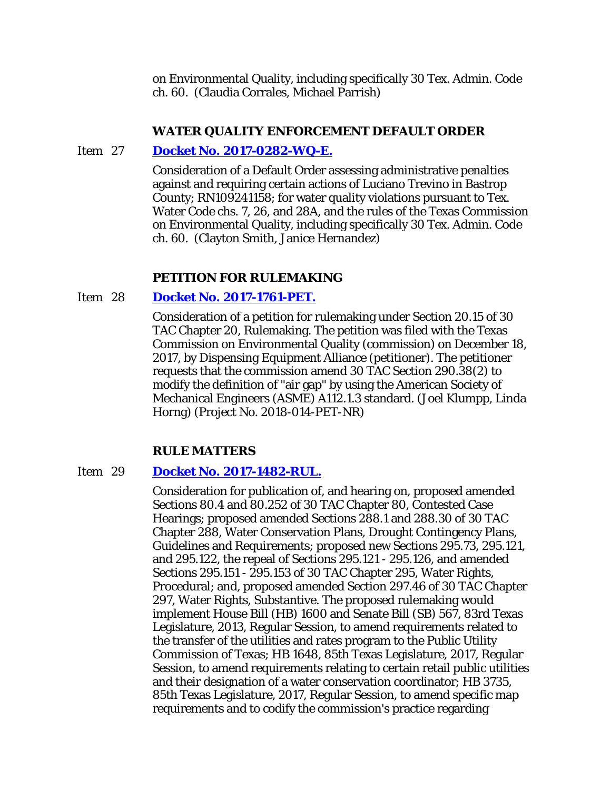on Environmental Quality, including specifically 30 Tex. Admin. Code ch. 60. (Claudia Corrales, Michael Parrish)

#### **WATER QUALITY ENFORCEMENT DEFAULT ORDER**

#### Item 27 **[Docket No. 2017-0282-WQ-E.](http://www.tceq.texas.gov/assets/public/comm_exec/agendas/comm/backup/Agendas/2018/02-07-2018/0282WQ.pdf)**

Consideration of a Default Order assessing administrative penalties against and requiring certain actions of Luciano Trevino in Bastrop County; RN109241158; for water quality violations pursuant to Tex. Water Code chs. 7, 26, and 28A, and the rules of the Texas Commission on Environmental Quality, including specifically 30 Tex. Admin. Code ch. 60. (Clayton Smith, Janice Hernandez)

#### **PETITION FOR RULEMAKING**

#### Item 28 **[Docket No. 2017-1761-PET.](http://www.tceq.texas.gov/assets/public/comm_exec/agendas/comm/backup/Agendas/2018/02-07-2018/1761PET.pdf)**

Consideration of a petition for rulemaking under Section 20.15 of 30 TAC Chapter 20, Rulemaking. The petition was filed with the Texas Commission on Environmental Quality (commission) on December 18, 2017, by Dispensing Equipment Alliance (petitioner). The petitioner requests that the commission amend 30 TAC Section 290.38(2) to modify the definition of "air gap" by using the American Society of Mechanical Engineers (ASME) A112.1.3 standard. (Joel Klumpp, Linda Horng) (Project No. 2018-014-PET-NR)

#### **RULE MATTERS**

#### Item 29 **[Docket No. 2017-1482-RUL.](http://www.tceq.texas.gov/assets/public/comm_exec/agendas/comm/backup/Agendas/2018/02-07-2018/1482RUL.pdf)**

Consideration for publication of, and hearing on, proposed amended Sections 80.4 and 80.252 of 30 TAC Chapter 80, Contested Case Hearings; proposed amended Sections 288.1 and 288.30 of 30 TAC Chapter 288, Water Conservation Plans, Drought Contingency Plans, Guidelines and Requirements; proposed new Sections 295.73, 295.121, and 295.122, the repeal of Sections 295.121 - 295.126, and amended Sections 295.151 - 295.153 of 30 TAC Chapter 295, Water Rights, Procedural; and, proposed amended Section 297.46 of 30 TAC Chapter 297, Water Rights, Substantive. The proposed rulemaking would implement House Bill (HB) 1600 and Senate Bill (SB) 567, 83rd Texas Legislature, 2013, Regular Session, to amend requirements related to the transfer of the utilities and rates program to the Public Utility Commission of Texas; HB 1648, 85th Texas Legislature, 2017, Regular Session, to amend requirements relating to certain retail public utilities and their designation of a water conservation coordinator; HB 3735, 85th Texas Legislature, 2017, Regular Session, to amend specific map requirements and to codify the commission's practice regarding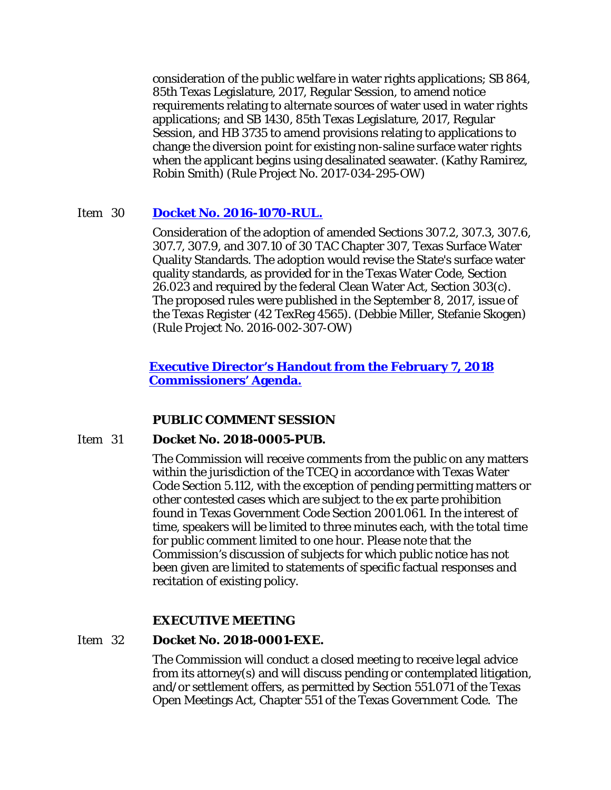consideration of the public welfare in water rights applications; SB 864, 85th Texas Legislature, 2017, Regular Session, to amend notice requirements relating to alternate sources of water used in water rights applications; and SB 1430, 85th Texas Legislature, 2017, Regular Session, and HB 3735 to amend provisions relating to applications to change the diversion point for existing non-saline surface water rights when the applicant begins using desalinated seawater. (Kathy Ramirez, Robin Smith) (Rule Project No. 2017-034-295-OW)

#### Item 30 **[Docket No. 2016-1070-RUL.](http://www.tceq.texas.gov/assets/public/comm_exec/agendas/comm/backup/Agendas/2018/02-07-2018/1070RUL.pdf)**

Consideration of the adoption of amended Sections 307.2, 307.3, 307.6, 307.7, 307.9, and 307.10 of 30 TAC Chapter 307, Texas Surface Water Quality Standards. The adoption would revise the State's surface water quality standards, as provided for in the Texas Water Code, Section 26.023 and required by the federal Clean Water Act, Section 303(c). The proposed rules were published in the September 8, 2017, issue of the *Texas Register* (42 TexReg 4565). (Debbie Miller, Stefanie Skogen) (Rule Project No. 2016-002-307-OW)

# **[Executive Director's Handout from the February 7, 2018](http://www.tceq.texas.gov/assets/public/comm_exec/agendas/comm/backup/Agendas/2018/02-07-2018/1070RUL-EDHandout.pdf)  [Commissioners' Agenda.](http://www.tceq.texas.gov/assets/public/comm_exec/agendas/comm/backup/Agendas/2018/02-07-2018/1070RUL-EDHandout.pdf)**

# **PUBLIC COMMENT SESSION**

#### Item 31 **Docket No. 2018-0005-PUB.**

The Commission will receive comments from the public on any matters within the jurisdiction of the TCEQ in accordance with Texas Water Code Section 5.112, with the exception of pending permitting matters or other contested cases which are subject to the ex parte prohibition found in Texas Government Code Section 2001.061. In the interest of time, speakers will be limited to three minutes each, with the total time for public comment limited to one hour. Please note that the Commission's discussion of subjects for which public notice has not been given are limited to statements of specific factual responses and recitation of existing policy.

#### **EXECUTIVE MEETING**

#### Item 32 **Docket No. 2018-0001-EXE.**

The Commission will conduct a closed meeting to receive legal advice from its attorney(s) and will discuss pending or contemplated litigation, and/or settlement offers, as permitted by Section 551.071 of the Texas Open Meetings Act, Chapter 551 of the Texas Government Code. The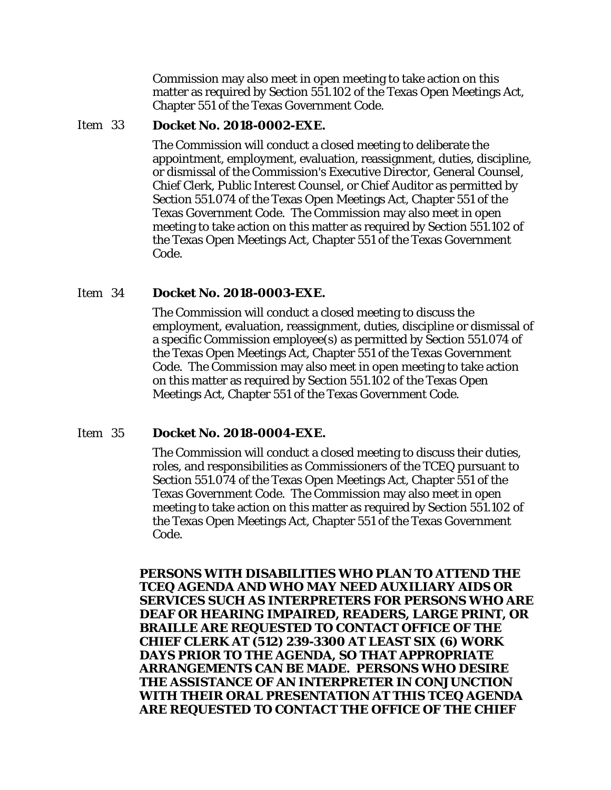Commission may also meet in open meeting to take action on this matter as required by Section 551.102 of the Texas Open Meetings Act, Chapter 551 of the Texas Government Code.

#### Item 33 **Docket No. 2018-0002-EXE.**

The Commission will conduct a closed meeting to deliberate the appointment, employment, evaluation, reassignment, duties, discipline, or dismissal of the Commission's Executive Director, General Counsel, Chief Clerk, Public Interest Counsel, or Chief Auditor as permitted by Section 551.074 of the Texas Open Meetings Act, Chapter 551 of the Texas Government Code. The Commission may also meet in open meeting to take action on this matter as required by Section 551.102 of the Texas Open Meetings Act, Chapter 551 of the Texas Government Code.

#### Item 34 **Docket No. 2018-0003-EXE.**

The Commission will conduct a closed meeting to discuss the employment, evaluation, reassignment, duties, discipline or dismissal of a specific Commission employee(s) as permitted by Section 551.074 of the Texas Open Meetings Act, Chapter 551 of the Texas Government Code. The Commission may also meet in open meeting to take action on this matter as required by Section 551.102 of the Texas Open Meetings Act, Chapter 551 of the Texas Government Code.

#### Item 35 **Docket No. 2018-0004-EXE.**

The Commission will conduct a closed meeting to discuss their duties, roles, and responsibilities as Commissioners of the TCEQ pursuant to Section 551.074 of the Texas Open Meetings Act, Chapter 551 of the Texas Government Code. The Commission may also meet in open meeting to take action on this matter as required by Section 551.102 of the Texas Open Meetings Act, Chapter 551 of the Texas Government Code.

**PERSONS WITH DISABILITIES WHO PLAN TO ATTEND THE TCEQ AGENDA AND WHO MAY NEED AUXILIARY AIDS OR SERVICES SUCH AS INTERPRETERS FOR PERSONS WHO ARE DEAF OR HEARING IMPAIRED, READERS, LARGE PRINT, OR BRAILLE ARE REQUESTED TO CONTACT OFFICE OF THE CHIEF CLERK AT (512) 239-3300 AT LEAST SIX (6) WORK DAYS PRIOR TO THE AGENDA, SO THAT APPROPRIATE ARRANGEMENTS CAN BE MADE. PERSONS WHO DESIRE THE ASSISTANCE OF AN INTERPRETER IN CONJUNCTION WITH THEIR ORAL PRESENTATION AT THIS TCEQ AGENDA ARE REQUESTED TO CONTACT THE OFFICE OF THE CHIEF**